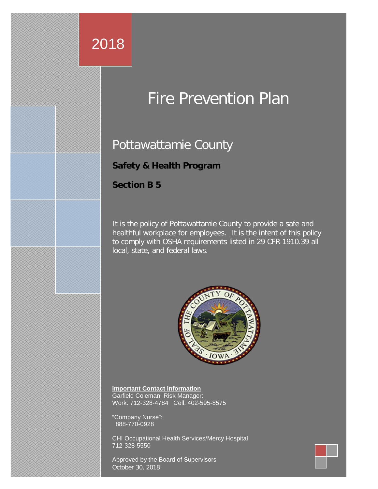# 2018

# Fire Prevention Plan

# Pottawattamie County

# **Safety & Health Program**

#### **Section B 5**

It is the policy of Pottawattamie County to provide a safe and healthful workplace for employees. It is the intent of this policy to comply with OSHA requirements listed in 29 CFR 1910.39 all local, state, and federal laws.



**Important Contact Information** Garfield Coleman, Risk Manager: Work: 712-328-4784 Cell: 402-595-8575

"Company Nurse": 888-770-0928

CHI Occupational Health Services/Mercy Hospital 712-328-5550

Approved by the Board of Supervisors October 30, 2018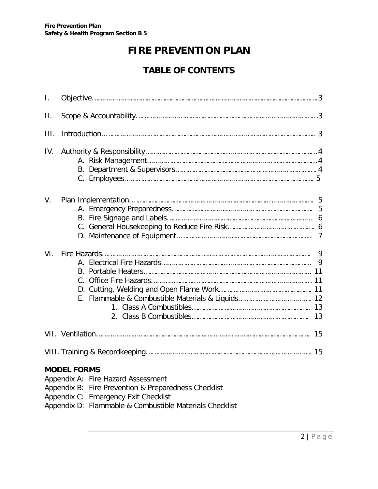# **FIRE PREVENTION PLAN**

# **TABLE OF CONTENTS**

| $\mathbf{L}$ |                                                                                                                                                                                                                     |        |  |  |  |
|--------------|---------------------------------------------------------------------------------------------------------------------------------------------------------------------------------------------------------------------|--------|--|--|--|
| $\Pi$ .      |                                                                                                                                                                                                                     |        |  |  |  |
| III.         |                                                                                                                                                                                                                     |        |  |  |  |
| IV.          |                                                                                                                                                                                                                     |        |  |  |  |
| $V_{\cdot}$  |                                                                                                                                                                                                                     | 6      |  |  |  |
| VI.          |                                                                                                                                                                                                                     | 9<br>9 |  |  |  |
|              |                                                                                                                                                                                                                     |        |  |  |  |
|              |                                                                                                                                                                                                                     |        |  |  |  |
|              | <b>MODEL FORMS</b><br>Appendix A: Fire Hazard Assessment<br>Appendix B: Fire Prevention & Preparedness Checklist<br>Appendix C: Emergency Exit Checklist<br>Appendix D: Flammable & Combustible Materials Checklist |        |  |  |  |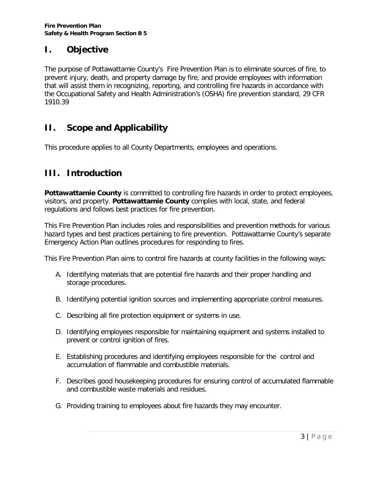## **I. Objective**

The purpose of Pottawattamie County's Fire Prevention Plan is to eliminate sources of fire, to prevent injury, death, and property damage by fire, and provide employees with information that will assist them in recognizing, reporting, and controlling fire hazards in accordance with the Occupational Safety and Health Administration's (OSHA) fire prevention standard, 29 CFR 1910.39

# **II. Scope and Applicability**

This procedure applies to all County Departments, employees and operations.

## **III. Introduction**

Pottawattamie County is committed to controlling fire hazards in order to protect employees, visitors, and property. **Pottawattamie County** complies with local, state, and federal regulations and follows best practices for fire prevention.

This Fire Prevention Plan includes roles and responsibilities and prevention methods for various hazard types and best practices pertaining to fire prevention. Pottawattamie County's separate Emergency Action Plan outlines procedures for responding to fires.

This Fire Prevention Plan aims to control fire hazards at county facilities in the following ways:

- A. Identifying materials that are potential fire hazards and their proper handling and storage procedures.
- B. Identifying potential ignition sources and implementing appropriate control measures.
- C. Describing all fire protection equipment or systems in use.
- D. Identifying employees responsible for maintaining equipment and systems installed to prevent or control ignition of fires.
- E. Establishing procedures and identifying employees responsible for the control and accumulation of flammable and combustible materials.
- F. Describes good housekeeping procedures for ensuring control of accumulated flammable and combustible waste materials and residues.
- G. Providing training to employees about fire hazards they may encounter.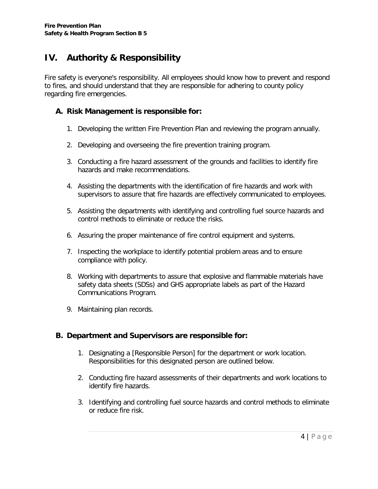# **IV. Authority & Responsibility**

Fire safety is everyone's responsibility. All employees should know how to prevent and respond to fires, and should understand that they are responsible for adhering to county policy regarding fire emergencies.

#### **A. Risk Management is responsible for:**

- 1. Developing the written Fire Prevention Plan and reviewing the program annually.
- 2. Developing and overseeing the fire prevention training program.
- 3. Conducting a fire hazard assessment of the grounds and facilities to identify fire hazards and make recommendations.
- 4. Assisting the departments with the identification of fire hazards and work with supervisors to assure that fire hazards are effectively communicated to employees.
- 5. Assisting the departments with identifying and controlling fuel source hazards and control methods to eliminate or reduce the risks.
- 6. Assuring the proper maintenance of fire control equipment and systems.
- 7. Inspecting the workplace to identify potential problem areas and to ensure compliance with policy.
- 8. Working with departments to assure that explosive and flammable materials have safety data sheets (SDSs) and GHS appropriate labels as part of the Hazard Communications Program.
- 9. Maintaining plan records.

#### **B. Department and Supervisors are responsible for:**

- 1. Designating a [Responsible Person] for the department or work location. Responsibilities for this designated person are outlined below.
- 2. Conducting fire hazard assessments of their departments and work locations to identify fire hazards.
- 3. Identifying and controlling fuel source hazards and control methods to eliminate or reduce fire risk.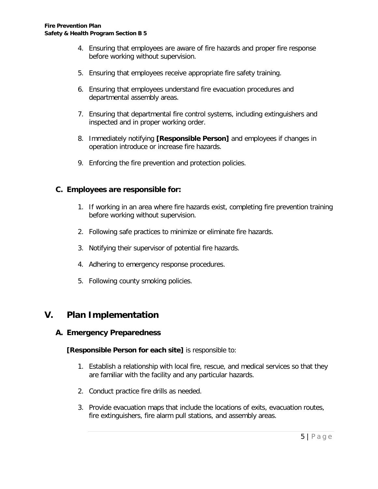- 4. Ensuring that employees are aware of fire hazards and proper fire response before working without supervision.
- 5. Ensuring that employees receive appropriate fire safety training.
- 6. Ensuring that employees understand fire evacuation procedures and departmental assembly areas.
- 7. Ensuring that departmental fire control systems, including extinguishers and inspected and in proper working order.
- 8. Immediately notifying **[Responsible Person]** and employees if changes in operation introduce or increase fire hazards.
- 9. Enforcing the fire prevention and protection policies.

#### **C. Employees are responsible for:**

- 1. If working in an area where fire hazards exist, completing fire prevention training before working without supervision.
- 2. Following safe practices to minimize or eliminate fire hazards.
- 3. Notifying their supervisor of potential fire hazards.
- 4. Adhering to emergency response procedures.
- 5. Following county smoking policies.

### **V. Plan Implementation**

#### **A. Emergency Preparedness**

**[Responsible Person for each site]** is responsible to:

- 1. Establish a relationship with local fire, rescue, and medical services so that they are familiar with the facility and any particular hazards.
- 2. Conduct practice fire drills as needed.
- 3. Provide evacuation maps that include the locations of exits, evacuation routes, fire extinguishers, fire alarm pull stations, and assembly areas.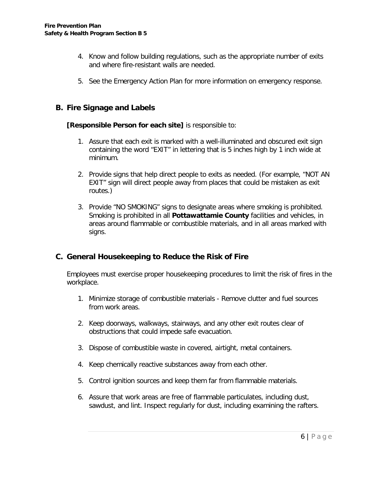- 4. Know and follow building regulations, such as the appropriate number of exits and where fire-resistant walls are needed.
- 5. See the Emergency Action Plan for more information on emergency response.

#### **B. Fire Signage and Labels**

#### **[Responsible Person for each site]** is responsible to:

- 1. Assure that each exit is marked with a well-illuminated and obscured exit sign containing the word "EXIT" in lettering that is 5 inches high by 1 inch wide at minimum.
- 2. Provide signs that help direct people to exits as needed. (For example, "NOT AN EXIT" sign will direct people away from places that could be mistaken as exit routes.)
- 3. Provide "NO SMOKING" signs to designate areas where smoking is prohibited. Smoking is prohibited in all **Pottawattamie County** facilities and vehicles, in areas around flammable or combustible materials, and in all areas marked with signs.

#### **C. General Housekeeping to Reduce the Risk of Fire**

Employees must exercise proper housekeeping procedures to limit the risk of fires in the workplace.

- 1. Minimize storage of combustible materials Remove clutter and fuel sources from work areas.
- 2. Keep doorways, walkways, stairways, and any other exit routes clear of obstructions that could impede safe evacuation.
- 3. Dispose of combustible waste in covered, airtight, metal containers.
- 4. Keep chemically reactive substances away from each other.
- 5. Control ignition sources and keep them far from flammable materials.
- 6. Assure that work areas are free of flammable particulates, including dust, sawdust, and lint. Inspect regularly for dust, including examining the rafters.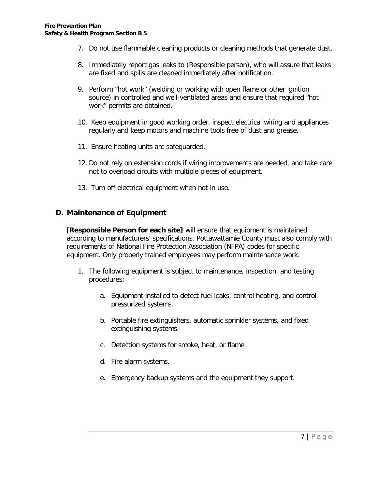- 7. Do not use flammable cleaning products or cleaning methods that generate dust.
- 8. Immediately report gas leaks to (Responsible person), who will assure that leaks are fixed and spills are cleaned immediately after notification.
- 9. Perform "hot work" (welding or working with open flame or other ignition source) in controlled and well-ventilated areas and ensure that required "hot work" permits are obtained.
- 10. Keep equipment in good working order, inspect electrical wiring and appliances regularly and keep motors and machine tools free of dust and grease.
- 11. Ensure heating units are safeguarded.
- 12. Do not rely on extension cords if wiring improvements are needed, and take care not to overload circuits with multiple pieces of equipment.
- 13. Turn off electrical equipment when not in use.

#### **D. Maintenance of Equipment**

[**Responsible Person for each site]** will ensure that equipment is maintained according to manufacturers' specifications. Pottawattamie County must also comply with requirements of National Fire Protection Association (NFPA) codes for specific equipment. Only properly trained employees may perform maintenance work.

- 1. The following equipment is subject to maintenance, inspection, and testing procedures:
	- a. Equipment installed to detect fuel leaks, control heating, and control pressurized systems.
	- b. Portable fire extinguishers, automatic sprinkler systems, and fixed extinguishing systems.
	- c. Detection systems for smoke, heat, or flame.
	- d. Fire alarm systems.
	- e. Emergency backup systems and the equipment they support.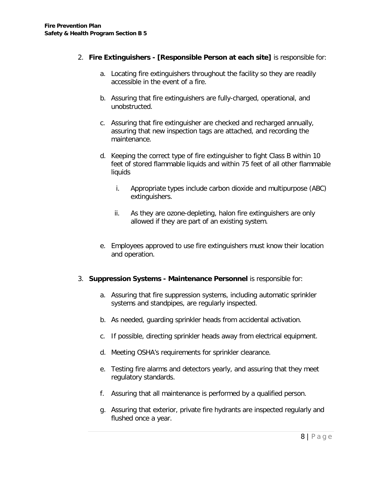#### 2. **Fire Extinguishers - [Responsible Person at each site]** is responsible for:

- a. Locating fire extinguishers throughout the facility so they are readily accessible in the event of a fire.
- b. Assuring that fire extinguishers are fully-charged, operational, and unobstructed.
- c. Assuring that fire extinguisher are checked and recharged annually, assuring that new inspection tags are attached, and recording the maintenance.
- d. Keeping the correct type of fire extinguisher to fight Class B within 10 feet of stored flammable liquids and within 75 feet of all other flammable liquids
	- i. Appropriate types include carbon dioxide and multipurpose (ABC) extinguishers.
	- ii. As they are ozone-depleting, halon fire extinguishers are only allowed if they are part of an existing system.
- e. Employees approved to use fire extinguishers must know their location and operation.

#### 3. **Suppression Systems - Maintenance Personnel** is responsible for:

- a. Assuring that fire suppression systems, including automatic sprinkler systems and standpipes, are regularly inspected.
- b. As needed, guarding sprinkler heads from accidental activation.
- c. If possible, directing sprinkler heads away from electrical equipment.
- d. Meeting OSHA's requirements for sprinkler clearance.
- e. Testing fire alarms and detectors yearly, and assuring that they meet regulatory standards.
- f. Assuring that all maintenance is performed by a qualified person.
- g. Assuring that exterior, private fire hydrants are inspected regularly and flushed once a year.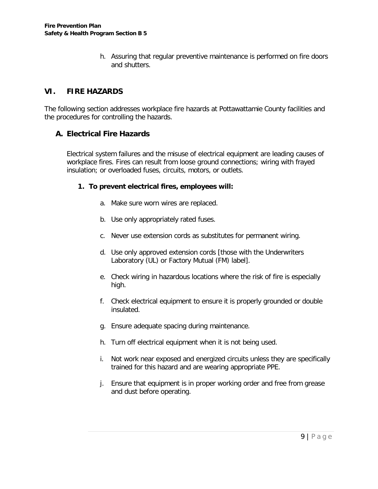h. Assuring that regular preventive maintenance is performed on fire doors and shutters.

#### **VI. FIRE HAZARDS**

The following section addresses workplace fire hazards at Pottawattamie County facilities and the procedures for controlling the hazards.

#### **A. Electrical Fire Hazards**

Electrical system failures and the misuse of electrical equipment are leading causes of workplace fires. Fires can result from loose ground connections; wiring with frayed insulation; or overloaded fuses, circuits, motors, or outlets.

#### **1. To prevent electrical fires, employees will:**

- a. Make sure worn wires are replaced.
- b. Use only appropriately rated fuses.
- c. Never use extension cords as substitutes for permanent wiring.
- d. Use only approved extension cords [those with the Underwriters Laboratory (UL) or Factory Mutual (FM) label].
- e. Check wiring in hazardous locations where the risk of fire is especially high.
- f. Check electrical equipment to ensure it is properly grounded or double insulated.
- g. Ensure adequate spacing during maintenance.
- h. Turn off electrical equipment when it is not being used.
- i. Not work near exposed and energized circuits unless they are specifically trained for this hazard and are wearing appropriate PPE.
- j. Ensure that equipment is in proper working order and free from grease and dust before operating.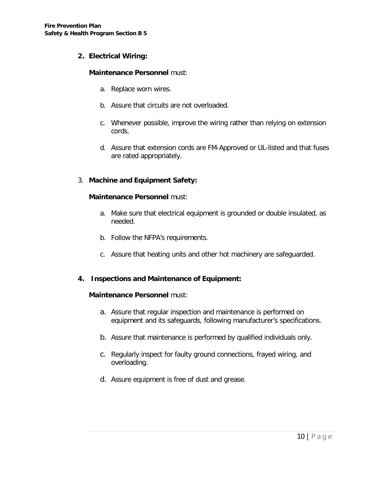#### **2. Electrical Wiring:**

#### **Maintenance Personnel** must:

- a. Replace worn wires.
- b. Assure that circuits are not overloaded.
- c. Whenever possible, improve the wiring rather than relying on extension cords.
- d. Assure that extension cords are FM-Approved or UL-listed and that fuses are rated appropriately.

#### 3. **Machine and Equipment Safety:**

#### **Maintenance Personnel** must:

- a. Make sure that electrical equipment is grounded or double insulated, as needed.
- b. Follow the NFPA's requirements.
- c. Assure that heating units and other hot machinery are safeguarded.

#### **4. Inspections and Maintenance of Equipment:**

#### **Maintenance Personnel** must:

- a. Assure that regular inspection and maintenance is performed on equipment and its safeguards, following manufacturer's specifications.
- b. Assure that maintenance is performed by qualified individuals only.
- c. Regularly inspect for faulty ground connections, frayed wiring, and overloading.
- d. Assure equipment is free of dust and grease.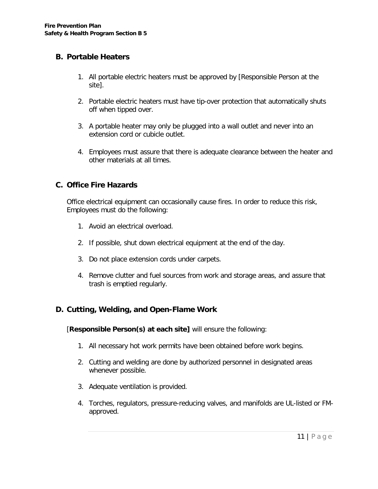#### **B. Portable Heaters**

- 1. All portable electric heaters must be approved by [Responsible Person at the site].
- 2. Portable electric heaters must have tip-over protection that automatically shuts off when tipped over.
- 3. A portable heater may only be plugged into a wall outlet and never into an extension cord or cubicle outlet.
- 4. Employees must assure that there is adequate clearance between the heater and other materials at all times.

#### **C. Office Fire Hazards**

Office electrical equipment can occasionally cause fires. In order to reduce this risk, Employees must do the following:

- 1. Avoid an electrical overload.
- 2. If possible, shut down electrical equipment at the end of the day.
- 3. Do not place extension cords under carpets.
- 4. Remove clutter and fuel sources from work and storage areas, and assure that trash is emptied regularly.

#### **D. Cutting, Welding, and Open-Flame Work**

[**Responsible Person(s) at each site]** will ensure the following:

- 1. All necessary hot work permits have been obtained before work begins.
- 2. Cutting and welding are done by authorized personnel in designated areas whenever possible.
- 3. Adequate ventilation is provided.
- 4. Torches, regulators, pressure-reducing valves, and manifolds are UL-listed or FMapproved.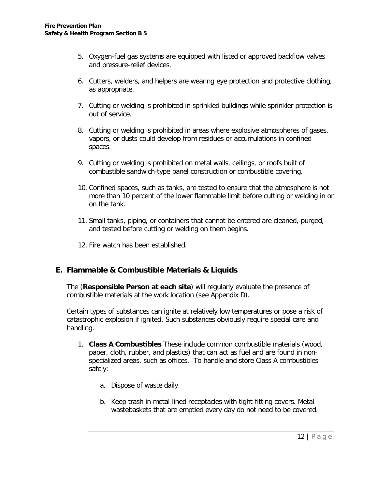- 5. Oxygen-fuel gas systems are equipped with listed or approved backflow valves and pressure-relief devices.
- 6. Cutters, welders, and helpers are wearing eye protection and protective clothing, as appropriate.
- 7. Cutting or welding is prohibited in sprinkled buildings while sprinkler protection is out of service.
- 8. Cutting or welding is prohibited in areas where explosive atmospheres of gases, vapors, or dusts could develop from residues or accumulations in confined spaces.
- 9. Cutting or welding is prohibited on metal walls, ceilings, or roofs built of combustible sandwich-type panel construction or combustible covering.
- 10. Confined spaces, such as tanks, are tested to ensure that the atmosphere is not more than 10 percent of the lower flammable limit before cutting or welding in or on the tank.
- 11. Small tanks, piping, or containers that cannot be entered are cleaned, purged, and tested before cutting or welding on them begins.
- 12. Fire watch has been established.

#### **E. Flammable & Combustible Materials & Liquids**

The (**Responsible Person at each site**) will regularly evaluate the presence of combustible materials at the work location (see Appendix D).

Certain types of substances can ignite at relatively low temperatures or pose a risk of catastrophic explosion if ignited. Such substances obviously require special care and handling.

- 1. **Class A Combustibles** These include common combustible materials (wood, paper, cloth, rubber, and plastics) that can act as fuel and are found in nonspecialized areas, such as offices. To handle and store Class A combustibles safely:
	- a. Dispose of waste daily.
	- b. Keep trash in metal-lined receptacles with tight-fitting covers. Metal wastebaskets that are emptied every day do not need to be covered.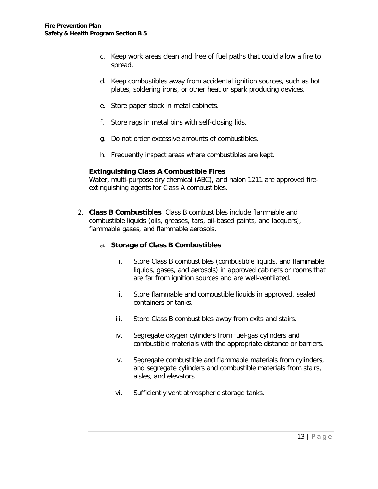- c. Keep work areas clean and free of fuel paths that could allow a fire to spread.
- d. Keep combustibles away from accidental ignition sources, such as hot plates, soldering irons, or other heat or spark producing devices.
- e. Store paper stock in metal cabinets.
- f. Store rags in metal bins with self-closing lids.
- g. Do not order excessive amounts of combustibles.
- h. Frequently inspect areas where combustibles are kept.

#### **Extinguishing Class A Combustible Fires**

Water, multi-purpose dry chemical (ABC), and halon 1211 are approved fireextinguishing agents for Class A combustibles.

2. **Class B Combustibles** Class B combustibles include flammable and combustible liquids (oils, greases, tars, oil-based paints, and lacquers), flammable gases, and flammable aerosols.

#### a. **Storage of Class B Combustibles**

- i. Store Class B combustibles (combustible liquids, and flammable liquids, gases, and aerosols) in approved cabinets or rooms that are far from ignition sources and are well-ventilated.
- ii. Store flammable and combustible liquids in approved, sealed containers or tanks.
- iii. Store Class B combustibles away from exits and stairs.
- iv. Segregate oxygen cylinders from fuel-gas cylinders and combustible materials with the appropriate distance or barriers.
- v. Segregate combustible and flammable materials from cylinders, and segregate cylinders and combustible materials from stairs, aisles, and elevators.
- vi. Sufficiently vent atmospheric storage tanks.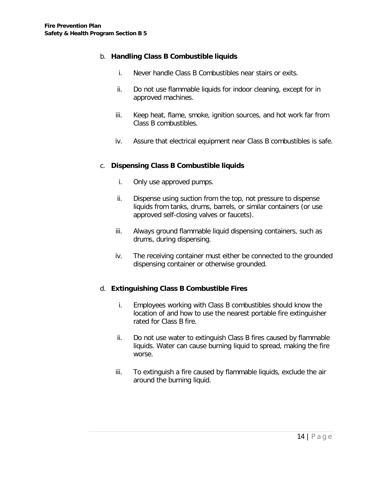#### b. **Handling Class B Combustible liquids**

- i. Never handle Class B Combustibles near stairs or exits.
- ii. Do not use flammable liquids for indoor cleaning, except for in approved machines.
- iii. Keep heat, flame, smoke, ignition sources, and hot work far from Class B combustibles.
- iv. Assure that electrical equipment near Class B combustibles is safe.

#### c. **Dispensing Class B Combustible liquids**

- i. Only use approved pumps.
- ii. Dispense using suction from the top, not pressure to dispense liquids from tanks, drums, barrels, or similar containers (or use approved self-closing valves or faucets).
- iii. Always ground flammable liquid dispensing containers, such as drums, during dispensing.
- iv. The receiving container must either be connected to the grounded dispensing container or otherwise grounded.

#### d. **Extinguishing Class B Combustible Fires**

- i. Employees working with Class B combustibles should know the location of and how to use the nearest portable fire extinguisher rated for Class B fire.
- ii. Do not use water to extinguish Class B fires caused by flammable liquids. Water can cause burning liquid to spread, making the fire worse.
- iii. To extinguish a fire caused by flammable liquids, exclude the air around the burning liquid.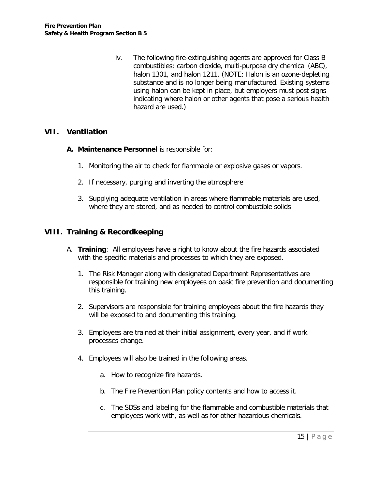iv. The following fire-extinguishing agents are approved for Class B combustibles: carbon dioxide, multi-purpose dry chemical (ABC), halon 1301, and halon 1211. (NOTE: Halon is an ozone-depleting substance and is no longer being manufactured. Existing systems using halon can be kept in place, but employers must post signs indicating where halon or other agents that pose a serious health hazard are used.)

#### **VII. Ventilation**

- **A. Maintenance Personnel** is responsible for:
	- 1. Monitoring the air to check for flammable or explosive gases or vapors.
	- 2. If necessary, purging and inverting the atmosphere
	- 3. Supplying adequate ventilation in areas where flammable materials are used, where they are stored, and as needed to control combustible solids

#### **VIII. Training & Recordkeeping**

- A. **Training**: All employees have a right to know about the fire hazards associated with the specific materials and processes to which they are exposed.
	- 1. The Risk Manager along with designated Department Representatives are responsible for training new employees on basic fire prevention and documenting this training.
	- 2. Supervisors are responsible for training employees about the fire hazards they will be exposed to and documenting this training.
	- 3. Employees are trained at their initial assignment, every year, and if work processes change.
	- 4. Employees will also be trained in the following areas.
		- a. How to recognize fire hazards.
		- b. The Fire Prevention Plan policy contents and how to access it.
		- c. The SDSs and labeling for the flammable and combustible materials that employees work with, as well as for other hazardous chemicals.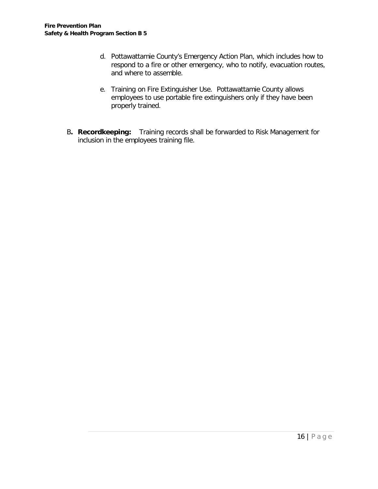- d. Pottawattamie County's Emergency Action Plan, which includes how to respond to a fire or other emergency, who to notify, evacuation routes, and where to assemble.
- e. Training on Fire Extinguisher Use. Pottawattamie County allows employees to use portable fire extinguishers only if they have been properly trained.
- B**. Recordkeeping:** Training records shall be forwarded to Risk Management for inclusion in the employees training file.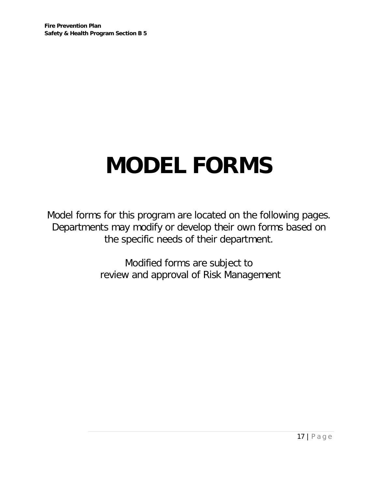# **MODEL FORMS**

Model forms for this program are located on the following pages. Departments may modify or develop their own forms based on the specific needs of their department.

> Modified forms are subject to review and approval of Risk Management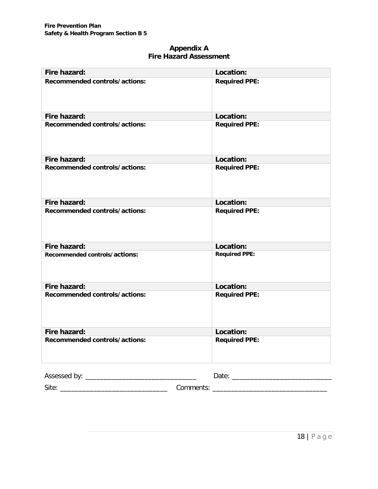#### **Appendix A Fire Hazard Assessment**

| Fire hazard:                  | Location:            |
|-------------------------------|----------------------|
| Recommended controls/actions: | <b>Required PPE:</b> |
| Fire hazard:                  | Location:            |
| Recommended controls/actions: | <b>Required PPE:</b> |
| Fire hazard:                  | Location:            |
| Recommended controls/actions: | <b>Required PPE:</b> |
| Fire hazard:                  | Location:            |
| Recommended controls/actions: | <b>Required PPE:</b> |
| Fire hazard:                  | Location:            |
| Recommended controls/actions: | <b>Required PPE:</b> |
| Fire hazard:                  | Location:            |
| Recommended controls/actions: | <b>Required PPE:</b> |
| Fire hazard:                  | Location:            |
| Recommended controls/actions: | <b>Required PPE:</b> |
|                               |                      |
|                               |                      |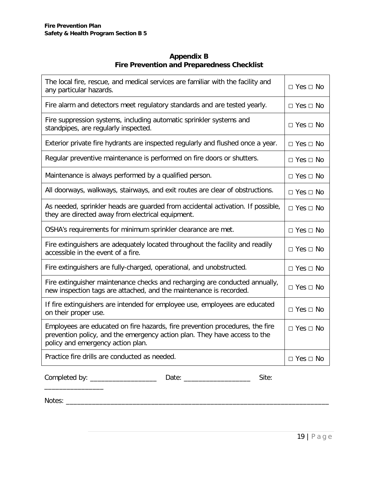#### **Appendix B Fire Prevention and Preparedness Checklist**

| The local fire, rescue, and medical services are familiar with the facility and<br>any particular hazards.                                                                                     | $\Box$ Yes $\Box$ No |
|------------------------------------------------------------------------------------------------------------------------------------------------------------------------------------------------|----------------------|
| Fire alarm and detectors meet regulatory standards and are tested yearly.                                                                                                                      | $\Box$ Yes $\Box$ No |
| Fire suppression systems, including automatic sprinkler systems and<br>standpipes, are regularly inspected.                                                                                    | $\Box$ Yes $\Box$ No |
| Exterior private fire hydrants are inspected regularly and flushed once a year.                                                                                                                | $\Box$ Yes $\Box$ No |
| Regular preventive maintenance is performed on fire doors or shutters.                                                                                                                         | $\Box$ Yes $\Box$ No |
| Maintenance is always performed by a qualified person.                                                                                                                                         | $\Box$ Yes $\Box$ No |
| All doorways, walkways, stairways, and exit routes are clear of obstructions.                                                                                                                  | $\Box$ Yes $\Box$ No |
| As needed, sprinkler heads are guarded from accidental activation. If possible,<br>they are directed away from electrical equipment.                                                           | $\Box$ Yes $\Box$ No |
| OSHA's requirements for minimum sprinkler clearance are met.                                                                                                                                   | $\Box$ Yes $\Box$ No |
| Fire extinguishers are adequately located throughout the facility and readily<br>accessible in the event of a fire.                                                                            | $\Box$ Yes $\Box$ No |
| Fire extinguishers are fully-charged, operational, and unobstructed.                                                                                                                           | $\Box$ Yes $\Box$ No |
| Fire extinguisher maintenance checks and recharging are conducted annually,<br>new inspection tags are attached, and the maintenance is recorded.                                              | $\Box$ Yes $\Box$ No |
| If fire extinguishers are intended for employee use, employees are educated<br>on their proper use.                                                                                            | $\Box$ Yes $\Box$ No |
| Employees are educated on fire hazards, fire prevention procedures, the fire<br>prevention policy, and the emergency action plan. They have access to the<br>policy and emergency action plan. | $\Box$ Yes $\Box$ No |
| Practice fire drills are conducted as needed.                                                                                                                                                  | $\Box$ Yes $\Box$ No |

 $\overline{\phantom{a}}$  , we can also the contract of  $\overline{\phantom{a}}$ 

Completed by: \_\_\_\_\_\_\_\_\_\_\_\_\_\_\_\_\_\_ Date: \_\_\_\_\_\_\_\_\_\_\_\_\_\_\_\_\_\_ Site:

Notes: \_\_\_\_\_\_\_\_\_\_\_\_\_\_\_\_\_\_\_\_\_\_\_\_\_\_\_\_\_\_\_\_\_\_\_\_\_\_\_\_\_\_\_\_\_\_\_\_\_\_\_\_\_\_\_\_\_\_\_\_\_\_\_\_\_\_\_\_\_\_\_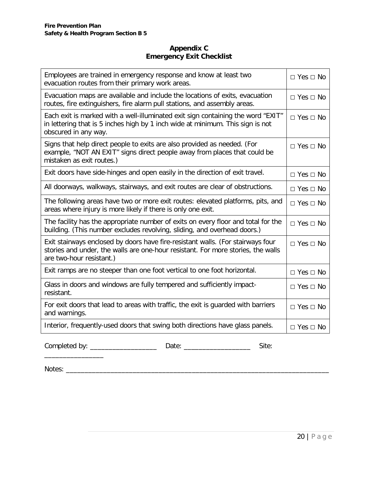#### **Appendix C Emergency Exit Checklist**

| Employees are trained in emergency response and know at least two<br>evacuation routes from their primary work areas.                                                                           |                      |
|-------------------------------------------------------------------------------------------------------------------------------------------------------------------------------------------------|----------------------|
| Evacuation maps are available and include the locations of exits, evacuation<br>routes, fire extinguishers, fire alarm pull stations, and assembly areas.                                       | $\Box$ Yes $\Box$ No |
| Each exit is marked with a well-illuminated exit sign containing the word "EXIT"<br>in lettering that is 5 inches high by 1 inch wide at minimum. This sign is not<br>obscured in any way.      | $\Box$ Yes $\Box$ No |
| Signs that help direct people to exits are also provided as needed. (For<br>example, "NOT AN EXIT" signs direct people away from places that could be<br>mistaken as exit routes.)              | $\Box$ Yes $\Box$ No |
| Exit doors have side-hinges and open easily in the direction of exit travel.                                                                                                                    | $\Box$ Yes $\Box$ No |
| All doorways, walkways, stairways, and exit routes are clear of obstructions.                                                                                                                   | $\Box$ Yes $\Box$ No |
| The following areas have two or more exit routes: elevated platforms, pits, and<br>areas where injury is more likely if there is only one exit.                                                 |                      |
| The facility has the appropriate number of exits on every floor and total for the<br>building. (This number excludes revolving, sliding, and overhead doors.)                                   | $\Box$ Yes $\Box$ No |
| Exit stairways enclosed by doors have fire-resistant walls. (For stairways four<br>stories and under, the walls are one-hour resistant. For more stories, the walls<br>are two-hour resistant.) |                      |
| Exit ramps are no steeper than one foot vertical to one foot horizontal.                                                                                                                        | $\Box$ Yes $\Box$ No |
| Glass in doors and windows are fully tempered and sufficiently impact-<br>resistant.                                                                                                            | $\Box$ Yes $\Box$ No |
| For exit doors that lead to areas with traffic, the exit is guarded with barriers<br>and warnings.                                                                                              | $\Box$ Yes $\Box$ No |
| Interior, frequently-used doors that swing both directions have glass panels.                                                                                                                   | $\Box$ Yes $\Box$ No |

Completed by: \_\_\_\_\_\_\_\_\_\_\_\_\_\_\_\_\_\_ Date: \_\_\_\_\_\_\_\_\_\_\_\_\_\_\_\_\_\_ Site:  $\overline{\phantom{a}}$  , we can also the contract of  $\overline{\phantom{a}}$ 

Notes: \_\_\_\_\_\_\_\_\_\_\_\_\_\_\_\_\_\_\_\_\_\_\_\_\_\_\_\_\_\_\_\_\_\_\_\_\_\_\_\_\_\_\_\_\_\_\_\_\_\_\_\_\_\_\_\_\_\_\_\_\_\_\_\_\_\_\_\_\_\_\_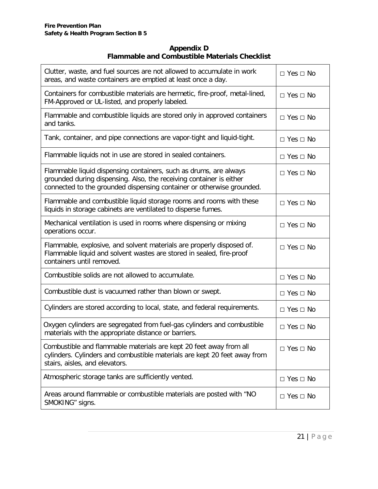#### **Appendix D Flammable and Combustible Materials Checklist**

| Clutter, waste, and fuel sources are not allowed to accumulate in work<br>areas, and waste containers are emptied at least once a day.                                                                            | $\Box$ Yes $\Box$ No |
|-------------------------------------------------------------------------------------------------------------------------------------------------------------------------------------------------------------------|----------------------|
| Containers for combustible materials are hermetic, fire-proof, metal-lined,<br>FM-Approved or UL-listed, and properly labeled.                                                                                    | $\Box$ Yes $\Box$ No |
| Flammable and combustible liquids are stored only in approved containers<br>and tanks.                                                                                                                            | $\Box$ Yes $\Box$ No |
| Tank, container, and pipe connections are vapor-tight and liquid-tight.                                                                                                                                           | $\Box$ Yes $\Box$ No |
| Flammable liquids not in use are stored in sealed containers.                                                                                                                                                     | $\Box$ Yes $\Box$ No |
| Flammable liquid dispensing containers, such as drums, are always<br>grounded during dispensing. Also, the receiving container is either<br>connected to the grounded dispensing container or otherwise grounded. | $\Box$ Yes $\Box$ No |
| Flammable and combustible liquid storage rooms and rooms with these<br>liquids in storage cabinets are ventilated to disperse fumes.                                                                              | $\Box$ Yes $\Box$ No |
| Mechanical ventilation is used in rooms where dispensing or mixing<br>operations occur.                                                                                                                           | $\Box$ Yes $\Box$ No |
| Flammable, explosive, and solvent materials are properly disposed of.<br>Flammable liquid and solvent wastes are stored in sealed, fire-proof<br>containers until removed.                                        | $\Box$ Yes $\Box$ No |
| Combustible solids are not allowed to accumulate.                                                                                                                                                                 | $\Box$ Yes $\Box$ No |
| Combustible dust is vacuumed rather than blown or swept.                                                                                                                                                          | $\Box$ Yes $\Box$ No |
| Cylinders are stored according to local, state, and federal requirements.                                                                                                                                         | $\Box$ Yes $\Box$ No |
| Oxygen cylinders are segregated from fuel-gas cylinders and combustible<br>materials with the appropriate distance or barriers.                                                                                   | $\Box$ Yes $\Box$ No |
| Combustible and flammable materials are kept 20 feet away from all<br>cylinders. Cylinders and combustible materials are kept 20 feet away from<br>stairs, aisles, and elevators.                                 | $\Box$ Yes $\Box$ No |
| Atmospheric storage tanks are sufficiently vented.                                                                                                                                                                | $\Box$ Yes $\Box$ No |
| Areas around flammable or combustible materials are posted with "NO<br>SMOKING" signs.                                                                                                                            | $\Box$ Yes $\Box$ No |